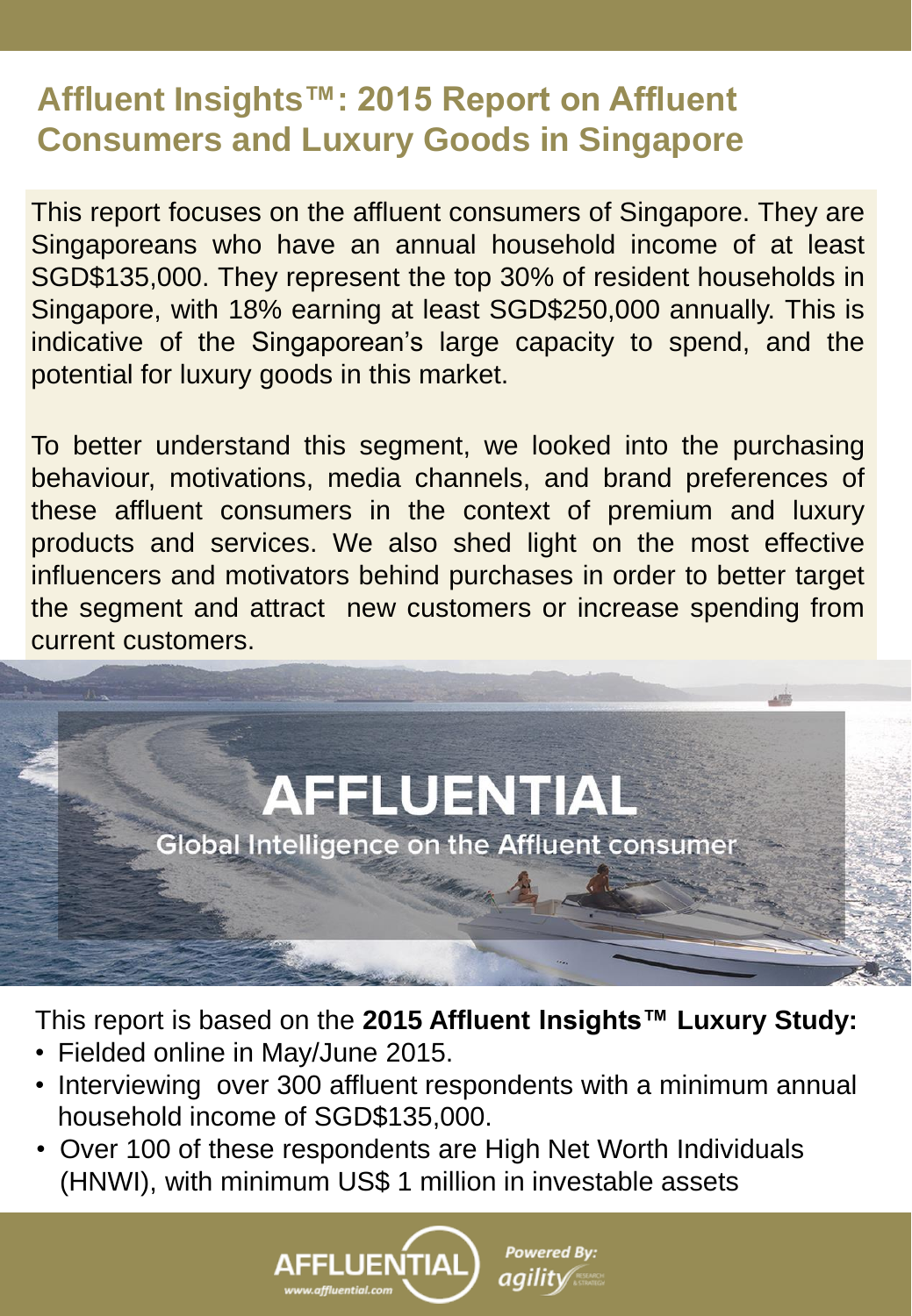This report focuses on the affluent consumers of Singapore. They are Singaporeans who have an annual household income of at least SGD\$135,000. They represent the top 30% of resident households in Singapore, with 18% earning at least SGD\$250,000 annually. This is indicative of the Singaporean's large capacity to spend, and the potential for luxury goods in this market.

To better understand this segment, we looked into the purchasing behaviour, motivations, media channels, and brand preferences of these affluent consumers in the context of premium and luxury products and services. We also shed light on the most effective influencers and motivators behind purchases in order to better target the segment and attract new customers or increase spending from current customers.

 $-173$ 

This report is based on the **2015 Affluent Insights™ Luxury Study:**

**AFFLUENTIAL** 

**Global Intelligence on the Affluent consumer** 

- Fielded online in May/June 2015.
- Interviewing over 300 affluent respondents with a minimum annual household income of SGD\$135,000.
- Over 100 of these respondents are High Net Worth Individuals (HNWI), with minimum US\$ 1 million in investable assets

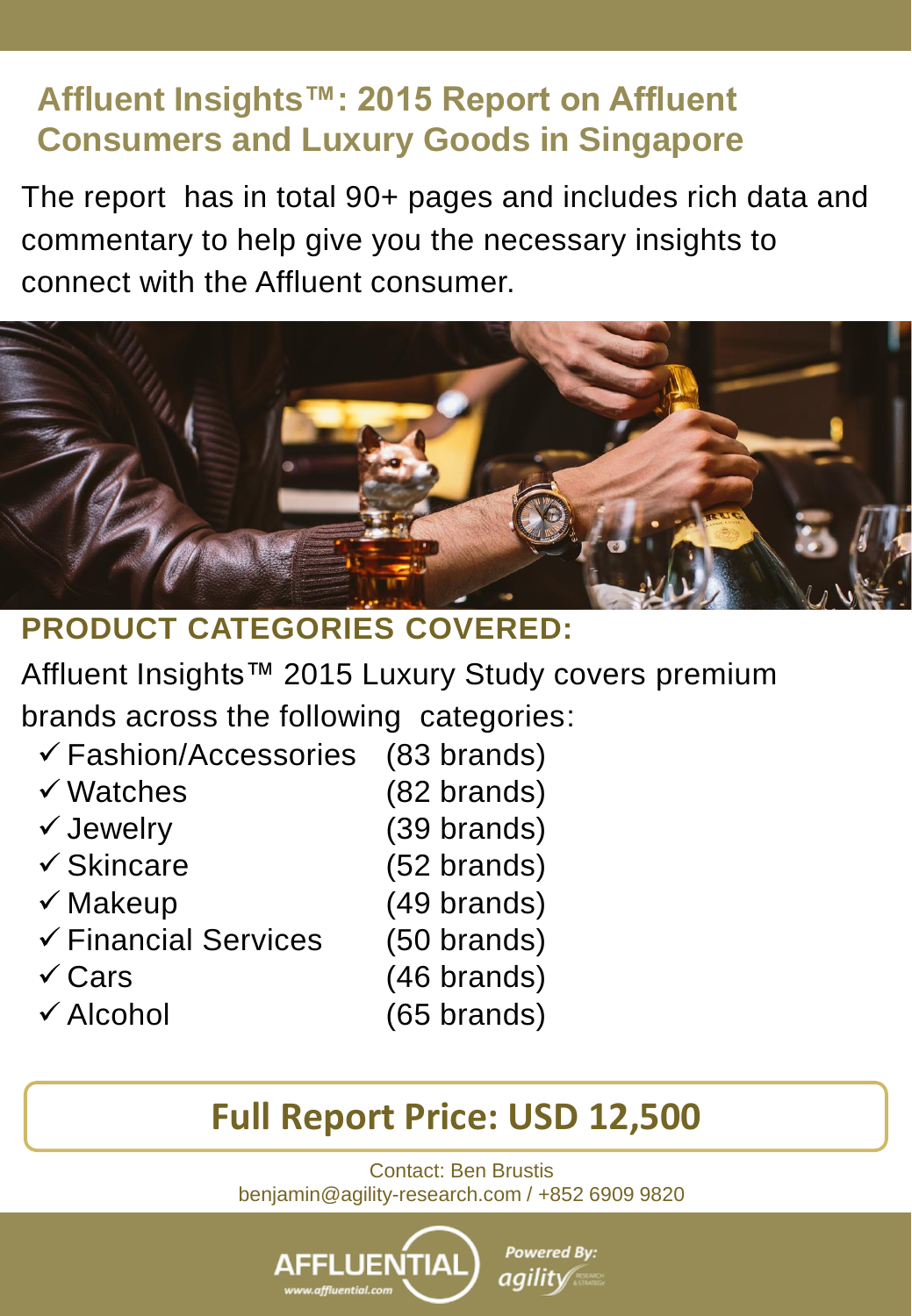The report has in total 90+ pages and includes rich data and commentary to help give you the necessary insights to connect with the Affluent consumer.



#### **PRODUCT CATEGORIES COVERED:**

Affluent Insights™ 2015 Luxury Study covers premium brands across the following categories:

- $\checkmark$  Fashion/Accessories (83 brands) Watches (82 brands)  $\checkmark$  Jewelry (39 brands)  $\checkmark$  Skincare (52 brands)  $\checkmark$  Makeup (49 brands)
- 
- $\checkmark$  Financial Services (50 brands)
- 
- 
- 
- $\checkmark$  Cars (46 brands)
- $\checkmark$  Alcohol (65 brands)

# **Full Report Price: USD 12,500**

Contact: Ben Brustis benjamin@agility-research.com / +852 6909 9820

**Powered By:** 

*agility* 

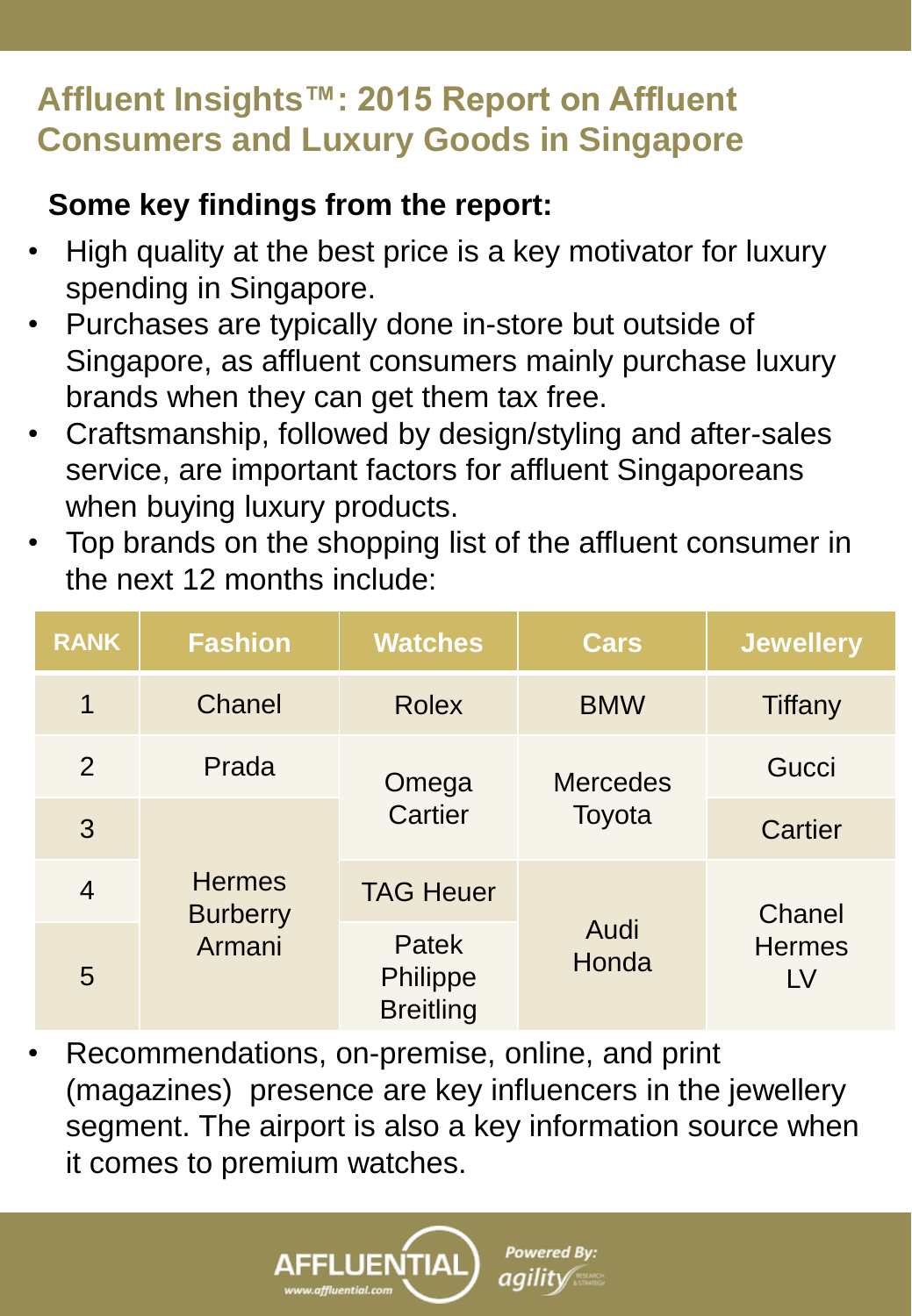#### **Some key findings from the report:**

- High quality at the best price is a key motivator for luxury spending in Singapore.
- Purchases are typically done in-store but outside of Singapore, as affluent consumers mainly purchase luxury brands when they can get them tax free.
- Craftsmanship, followed by design/styling and after-sales service, are important factors for affluent Singaporeans when buying luxury products.
- Top brands on the shopping list of the affluent consumer in the next 12 months include:

| <b>RANK</b>    | <b>Fashion</b>                             | <b>Watches</b>                               | <b>Cars</b>               | <b>Jewellery</b>              |
|----------------|--------------------------------------------|----------------------------------------------|---------------------------|-------------------------------|
| 1              | Chanel                                     | <b>Rolex</b>                                 | <b>BMW</b>                | Tiffany                       |
| 2              | Prada                                      | Omega<br><b>Cartier</b>                      | <b>Mercedes</b><br>Toyota | Gucci                         |
| 3              | <b>Hermes</b><br><b>Burberry</b><br>Armani |                                              |                           | Cartier                       |
| $\overline{4}$ |                                            | <b>TAG Heuer</b>                             | Audi<br>Honda             | Chanel<br><b>Hermes</b><br>LV |
| 5              |                                            | Patek<br><b>Philippe</b><br><b>Breitling</b> |                           |                               |

• Recommendations, on-premise, online, and print (magazines) presence are key influencers in the jewellery segment. The airport is also a key information source when it comes to premium watches.